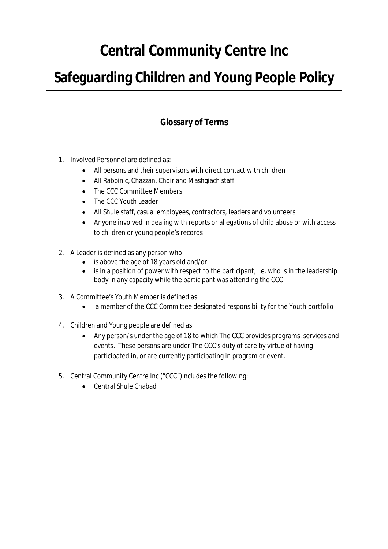# **Central Community Centre Inc**

# **Safeguarding Children and Young People Policy**

# **Glossary of Terms**

- 1. Involved Personnel are defined as:
	- All persons and their supervisors with direct contact with children
	- All Rabbinic, Chazzan, Choir and Mashgiach staff
	- The CCC Committee Members
	- The CCC Youth Leader
	- All Shule staff, casual employees, contractors, leaders and volunteers
	- Anyone involved in dealing with reports or allegations of child abuse or with access to children or young people's records
- 2. A Leader is defined as any person who:
	- is above the age of 18 years old and/or
	- is in a position of power with respect to the participant, i.e. who is in the leadership body in any capacity while the participant was attending the CCC
- 3. A Committee's Youth Member is defined as:
	- a member of the CCC Committee designated responsibility for the Youth portfolio
- 4. Children and Young people are defined as:
	- Any person/s under the age of 18 to which The CCC provides programs, services and events. These persons are under The CCC's duty of care by virtue of having participated in, or are currently participating in program or event.
- 5. Central Community Centre Inc ("CCC")includes the following:
	- Central Shule Chabad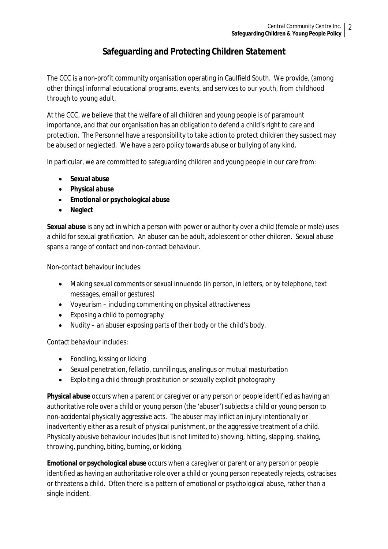# **Safeguarding and Protecting Children Statement**

The CCC is a non-profit community organisation operating in Caulfield South. We provide, (among other things) informal educational programs, events, and services to our youth, from childhood through to young adult.

At the CCC, we believe that the welfare of all children and young people is of paramount importance, and that our organisation has an obligation to defend a child's right to care and protection. The Personnel have a responsibility to take action to protect children they suspect may be abused or neglected. We have a zero policy towards abuse or bullying of any kind.

In particular, we are committed to safeguarding children and young people in our care from:

- **Sexual abuse**
- **Physical abuse**
- **Emotional or psychological abuse**
- **Neglect**

**Sexual abuse** is any act in which a person with power or authority over a child (female or male) uses a child for sexual gratification. An abuser can be adult, adolescent or other children. Sexual abuse spans a range of contact and non-contact behaviour.

Non-contact behaviour includes:

- Making sexual comments or sexual innuendo (in person, in letters, or by telephone, text messages, email or gestures)
- Voyeurism including commenting on physical attractiveness
- Exposing a child to pornography
- Nudity an abuser exposing parts of their body or the child's body.

Contact behaviour includes:

- Fondling, kissing or licking
- Sexual penetration, fellatio, cunnilingus, analingus or mutual masturbation
- Exploiting a child through prostitution or sexually explicit photography

**Physical abuse** occurs when a parent or caregiver or any person or people identified as having an authoritative role over a child or young person (the 'abuser') subjects a child or young person to non-accidental physically aggressive acts. The abuser may inflict an injury intentionally or inadvertently either as a result of physical punishment, or the aggressive treatment of a child. Physically abusive behaviour includes (but is not limited to) shoving, hitting, slapping, shaking, throwing, punching, biting, burning, or kicking.

**Emotional or psychological abuse** occurs when a caregiver or parent or any person or people identified as having an authoritative role over a child or young person repeatedly rejects, ostracises or threatens a child. Often there is a pattern of emotional or psychological abuse, rather than a single incident.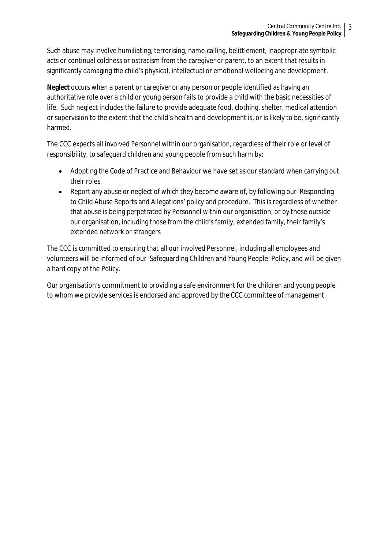Such abuse may involve humiliating, terrorising, name-calling, belittlement, inappropriate symbolic acts or continual coldness or ostracism from the caregiver or parent, to an extent that results in significantly damaging the child's physical, intellectual or emotional wellbeing and development.

**Neglect** occurs when a parent or caregiver or any person or people identified as having an authoritative role over a child or young person fails to provide a child with the basic necessities of life. Such neglect includes the failure to provide adequate food, clothing, shelter, medical attention or supervision to the extent that the child's health and development is, or is likely to be, significantly harmed.

The CCC expects all involved Personnel within our organisation, regardless of their role or level of responsibility, to safeguard children and young people from such harm by:

- Adopting the Code of Practice and Behaviour we have set as our standard when carrying out their roles
- Report any abuse or neglect of which they become aware of, by following our 'Responding' to Child Abuse Reports and Allegations' policy and procedure. This is regardless of whether that abuse is being perpetrated by Personnel within our organisation, or by those outside our organisation, including those from the child's family, extended family, their family's extended network or strangers

The CCC is committed to ensuring that all our involved Personnel, including all employees and volunteers will be informed of our 'Safeguarding Children and Young People' Policy, and will be given a hard copy of the Policy.

Our organisation's commitment to providing a safe environment for the children and young people to whom we provide services is endorsed and approved by the CCC committee of management.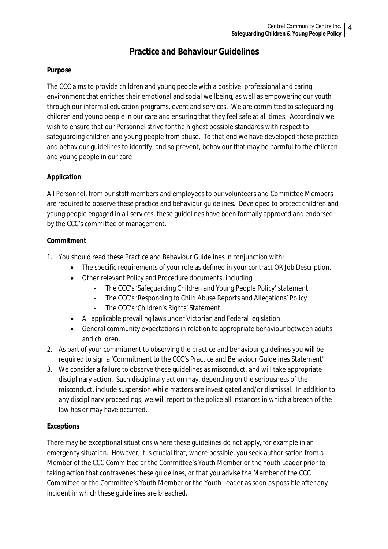# **Practice and Behaviour Guidelines**

# **Purpose**

The CCC aims to provide children and young people with a positive, professional and caring environment that enriches their emotional and social wellbeing, as well as empowering our youth through our informal education programs, event and services. We are committed to safeguarding children and young people in our care and ensuring that they feel safe at all times. Accordingly we wish to ensure that our Personnel strive for the highest possible standards with respect to safeguarding children and young people from abuse. To that end we have developed these practice and behaviour guidelines to identify, and so prevent, behaviour that may be harmful to the children and young people in our care.

# **Application**

All Personnel, from our staff members and employees to our volunteers and Committee Members are required to observe these practice and behaviour guidelines. Developed to protect children and young people engaged in all services, these guidelines have been formally approved and endorsed by the CCC's committee of management.

#### **Commitment**

- 1. You should read these Practice and Behaviour Guidelines in conjunction with:
	- The specific requirements of your role as defined in your contract OR Job Description.
	- Other relevant Policy and Procedure documents, including
		- The CCC's 'Safeguarding Children and Young People Policy' statement
		- The CCC's 'Responding to Child Abuse Reports and Allegations' Policy
		- The CCC's 'Children's Rights' Statement
	- All applicable prevailing laws under Victorian and Federal legislation.
	- General community expectations in relation to appropriate behaviour between adults and children.
- 2. As part of your commitment to observing the practice and behaviour guidelines you will be required to sign a 'Commitment to the CCC's Practice and Behaviour Guidelines Statement'
- 3. We consider a failure to observe these guidelines as misconduct, and will take appropriate disciplinary action. Such disciplinary action may, depending on the seriousness of the misconduct, include suspension while matters are investigated and/or dismissal. In addition to any disciplinary proceedings, we will report to the police all instances in which a breach of the law has or may have occurred.

# **Exceptions**

There may be exceptional situations where these guidelines do not apply, for example in an emergency situation. However, it is crucial that, where possible, you seek authorisation from a Member of the CCC Committee or the Committee's Youth Member or the Youth Leader prior to taking action that contravenes these guidelines, or that you advise the Member of the CCC Committee or the Committee's Youth Member or the Youth Leader as soon as possible after any incident in which these guidelines are breached.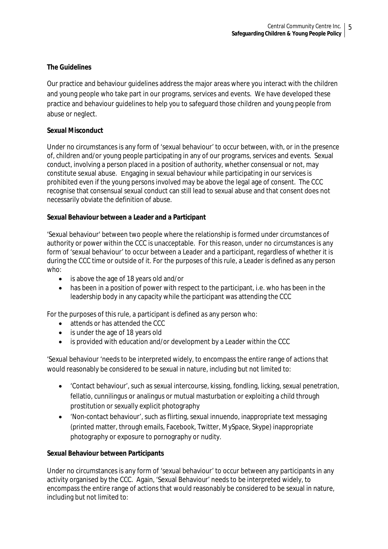#### **The Guidelines**

Our practice and behaviour guidelines address the major areas where you interact with the children and young people who take part in our programs, services and events. We have developed these practice and behaviour guidelines to help you to safeguard those children and young people from abuse or neglect.

#### **Sexual Misconduct**

Under no circumstances is any form of 'sexual behaviour' to occur between, with, or in the presence of, children and/or young people participating in any of our programs, services and events. Sexual conduct, involving a person placed in a position of authority, whether consensual or not, may constitute sexual abuse. Engaging in sexual behaviour while participating in our services is prohibited even if the young persons involved may be above the legal age of consent. The CCC recognise that consensual sexual conduct can still lead to sexual abuse and that consent does not necessarily obviate the definition of abuse.

#### **Sexual Behaviour between a Leader and a Participant**

'Sexual behaviour' between two people where the relationship is formed under circumstances of authority or power within the CCC is unacceptable. For this reason, under no circumstances is any form of 'sexual behaviour' to occur between a Leader and a participant, regardless of whether it is during the CCC time or outside of it. For the purposes of this rule, a Leader is defined as any person who:

- is above the age of 18 years old and/or
- has been in a position of power with respect to the participant, i.e. who has been in the leadership body in any capacity while the participant was attending the CCC

For the purposes of this rule, a participant is defined as any person who:

- attends or has attended the CCC
- is under the age of 18 years old
- is provided with education and/or development by a Leader within the CCC

'Sexual behaviour 'needs to be interpreted widely, to encompass the entire range of actions that would reasonably be considered to be sexual in nature, including but not limited to:

- 'Contact behaviour', such as sexual intercourse, kissing, fondling, licking, sexual penetration, fellatio, cunnilingus or analingus or mutual masturbation or exploiting a child through prostitution or sexually explicit photography
- 'Non-contact behaviour', such as flirting, sexual innuendo, inappropriate text messaging (printed matter, through emails, Facebook, Twitter, MySpace, Skype) inappropriate photography or exposure to pornography or nudity.

#### **Sexual Behaviour between Participants**

Under no circumstances is any form of 'sexual behaviour' to occur between any participants in any activity organised by the CCC. Again, 'Sexual Behaviour' needs to be interpreted widely, to encompass the entire range of actions that would reasonably be considered to be sexual in nature, including but not limited to: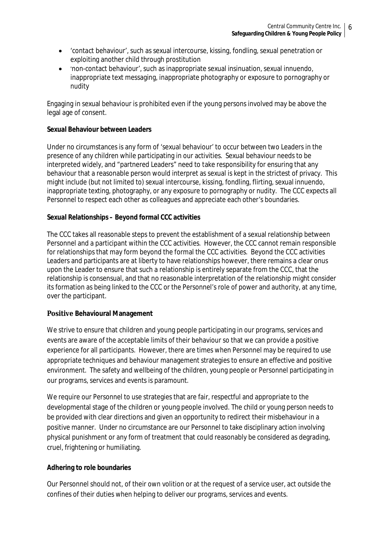- 'contact behaviour', such as sexual intercourse, kissing, fondling, sexual penetration or exploiting another child through prostitution
- 'non-contact behaviour', such as inappropriate sexual insinuation, sexual innuendo, inappropriate text messaging, inappropriate photography or exposure to pornography or nudity

Engaging in sexual behaviour is prohibited even if the young persons involved may be above the legal age of consent.

#### **Sexual Behaviour between Leaders**

Under no circumstances is any form of 'sexual behaviour' to occur between two Leaders in the presence of any children while participating in our activities. Sexual behaviour needs to be interpreted widely, and "partnered Leaders" need to take responsibility for ensuring that any behaviour that a reasonable person would interpret as sexual is kept in the strictest of privacy. This might include (but not limited to) sexual intercourse, kissing, fondling, flirting, sexual innuendo, inappropriate texting, photography, or any exposure to pornography or nudity. The CCC expects all Personnel to respect each other as colleagues and appreciate each other's boundaries.

#### **Sexual Relationships – Beyond formal CCC activities**

The CCC takes all reasonable steps to prevent the establishment of a sexual relationship between Personnel and a participant within the CCC activities. However, the CCC cannot remain responsible for relationships that may form beyond the formal the CCC activities. Beyond the CCC activities Leaders and participants are at liberty to have relationships however, there remains a clear onus upon the Leader to ensure that such a relationship is entirely separate from the CCC, that the relationship is consensual, and that no reasonable interpretation of the relationship might consider its formation as being linked to the CCC or the Personnel's role of power and authority, at any time, over the participant.

# **Positive Behavioural Management**

We strive to ensure that children and young people participating in our programs, services and events are aware of the acceptable limits of their behaviour so that we can provide a positive experience for all participants. However, there are times when Personnel may be required to use appropriate techniques and behaviour management strategies to ensure an effective and positive environment. The safety and wellbeing of the children, young people or Personnel participating in our programs, services and events is paramount.

We require our Personnel to use strategies that are fair, respectful and appropriate to the developmental stage of the children or young people involved. The child or young person needs to be provided with clear directions and given an opportunity to redirect their misbehaviour in a positive manner. Under no circumstance are our Personnel to take disciplinary action involving physical punishment or any form of treatment that could reasonably be considered as degrading, cruel, frightening or humiliating.

# **Adhering to role boundaries**

Our Personnel should not, of their own volition or at the request of a service user, act outside the confines of their duties when helping to deliver our programs, services and events.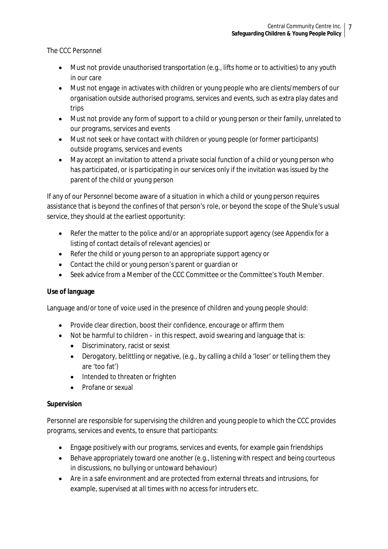The CCC Personnel

- Must not provide unauthorised transportation (e.g., lifts home or to activities) to any youth in our care
- Must not engage in activates with children or young people who are clients/members of our organisation outside authorised programs, services and events, such as extra play dates and trips
- Must not provide any form of support to a child or young person or their family, unrelated to our programs, services and events
- Must not seek or have contact with children or young people (or former participants) outside programs, services and events
- May accept an invitation to attend a private social function of a child or young person who has participated, or is participating in our services only if the invitation was issued by the parent of the child or young person

If any of our Personnel become aware of a situation in which a child or young person requires assistance that is beyond the confines of that person's role, or beyond the scope of the Shule's usual service, they should at the earliest opportunity:

- Refer the matter to the police and/or an appropriate support agency (see Appendix for a listing of contact details of relevant agencies) or
- Refer the child or young person to an appropriate support agency or
- Contact the child or young person's parent or guardian or
- Seek advice from a Member of the CCC Committee or the Committee's Youth Member.

# **Use of language**

Language and/or tone of voice used in the presence of children and young people should:

- Provide clear direction, boost their confidence, encourage or affirm them
- Not be harmful to children in this respect, avoid swearing and language that is:
	- Discriminatory, racist or sexist
	- Derogatory, belittling or negative, (e.g., by calling a child a 'loser' or telling them they are 'too fat')
	- Intended to threaten or frighten
	- Profane or sexual

# **Supervision**

Personnel are responsible for supervising the children and young people to which the CCC provides programs, services and events, to ensure that participants:

- Engage positively with our programs, services and events, for example gain friendships
- Behave appropriately toward one another (e.g., listening with respect and being courteous in discussions, no bullying or untoward behaviour)
- Are in a safe environment and are protected from external threats and intrusions, for example, supervised at all times with no access for intruders etc.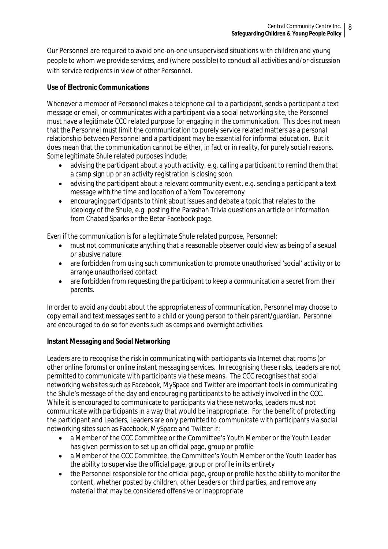Our Personnel are required to avoid one-on-one unsupervised situations with children and young people to whom we provide services, and (where possible) to conduct all activities and/or discussion with service recipients in view of other Personnel.

# **Use of Electronic Communications**

Whenever a member of Personnel makes a telephone call to a participant, sends a participant a text message or email, or communicates with a participant via a social networking site, the Personnel must have a legitimate CCC related purpose for engaging in the communication. This does not mean that the Personnel must limit the communication to purely service related matters as a personal relationship between Personnel and a participant may be essential for informal education. But it does mean that the communication cannot be either, in fact or in reality, for purely social reasons. Some legitimate Shule related purposes include:

- advising the participant about a youth activity, e.g. calling a participant to remind them that a camp sign up or an activity registration is closing soon
- advising the participant about a relevant community event, e.g. sending a participant a text message with the time and location of a Yom Tov ceremony
- encouraging participants to think about issues and debate a topic that relates to the ideology of the Shule, e.g. posting the Parashah Trivia questions an article or information from Chabad Sparks or the Betar Facebook page.

Even if the communication is for a legitimate Shule related purpose, Personnel:

- must not communicate anything that a reasonable observer could view as being of a sexual or abusive nature
- are forbidden from using such communication to promote unauthorised 'social' activity or to arrange unauthorised contact
- are forbidden from requesting the participant to keep a communication a secret from their parents.

In order to avoid any doubt about the appropriateness of communication, Personnel may choose to copy email and text messages sent to a child or young person to their parent/guardian. Personnel are encouraged to do so for events such as camps and overnight activities.

# **Instant Messaging and Social Networking**

Leaders are to recognise the risk in communicating with participants via Internet chat rooms (or other online forums) or online instant messaging services. In recognising these risks, Leaders are not permitted to communicate with participants via these means. The CCC recognises that social networking websites such as Facebook, MySpace and Twitter are important tools in communicating the Shule's message of the day and encouraging participants to be actively involved in the CCC. While it is encouraged to communicate to participants via these networks, Leaders must not communicate with participants in a way that would be inappropriate. For the benefit of protecting the participant and Leaders, Leaders are only permitted to communicate with participants via social networking sites such as Facebook, MySpace and Twitter if:

- a Member of the CCC Committee or the Committee's Youth Member or the Youth Leader has given permission to set up an official page, group or profile
- a Member of the CCC Committee, the Committee's Youth Member or the Youth Leader has the ability to supervise the official page, group or profile in its entirety
- the Personnel responsible for the official page, group or profile has the ability to monitor the content, whether posted by children, other Leaders or third parties, and remove any material that may be considered offensive or inappropriate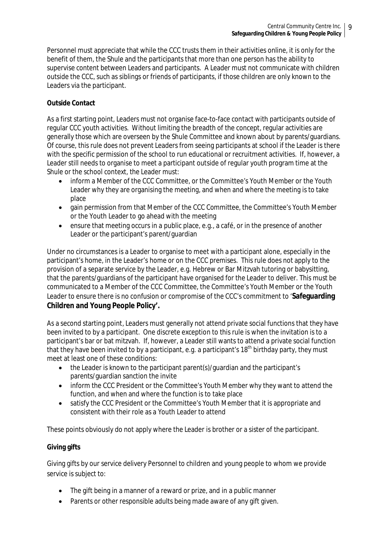Personnel must appreciate that while the CCC trusts them in their activities online, it is only for the benefit of them, the Shule and the participants that more than one person has the ability to supervise content between Leaders and participants. A Leader must not communicate with children outside the CCC, such as siblings or friends of participants, if those children are only known to the Leaders via the participant.

# **Outside Contact**

As a first starting point, Leaders must not organise face-to-face contact with participants outside of regular CCC youth activities. Without limiting the breadth of the concept, regular activities are generally those which are overseen by the Shule Committee and known about by parents/guardians. Of course, this rule does not prevent Leaders from seeing participants at school if the Leader is there with the specific permission of the school to run educational or recruitment activities. If, however, a Leader still needs to organise to meet a participant outside of regular youth program time at the Shule or the school context, the Leader must:

- inform a Member of the CCC Committee, or the Committee's Youth Member or the Youth Leader why they are organising the meeting, and when and where the meeting is to take place
- gain permission from that Member of the CCC Committee, the Committee's Youth Member or the Youth Leader to go ahead with the meeting
- ensure that meeting occurs in a public place, e.g., a café, or in the presence of another Leader or the participant's parent/guardian

Under no circumstances is a Leader to organise to meet with a participant alone, especially in the participant's home, in the Leader's home or on the CCC premises. This rule does not apply to the provision of a separate service by the Leader, e.g. Hebrew or Bar Mitzvah tutoring or babysitting, that the parents/guardians of the participant have organised for the Leader to deliver. This must be communicated to a Member of the CCC Committee, the Committee's Youth Member or the Youth Leader to ensure there is no confusion or compromise of the CCC's commitment to '**Safeguarding Children and Young People Policy'.** 

As a second starting point, Leaders must generally not attend private social functions that they have been invited to by a participant. One discrete exception to this rule is when the invitation is to a participant's bar or bat mitzvah. If, however, a Leader still wants to attend a private social function that they have been invited to by a participant, e.g. a participant's 18<sup>th</sup> birthday party, they must meet at least one of these conditions:

- the Leader is known to the participant parent(s)/guardian and the participant's parents/guardian sanction the invite
- inform the CCC President or the Committee's Youth Member why they want to attend the function, and when and where the function is to take place
- satisfy the CCC President or the Committee's Youth Member that it is appropriate and consistent with their role as a Youth Leader to attend

These points obviously do not apply where the Leader is brother or a sister of the participant.

# **Giving gifts**

Giving gifts by our service delivery Personnel to children and young people to whom we provide service is subject to:

- The gift being in a manner of a reward or prize, and in a public manner
- Parents or other responsible adults being made aware of any gift given.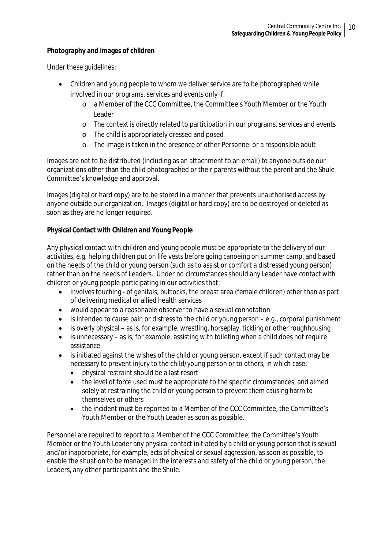#### **Photography and images of children**

Under these guidelines:

- Children and young people to whom we deliver service are to be photographed while involved in our programs, services and events only if:
	- o a Member of the CCC Committee, the Committee's Youth Member or the Youth Leader
	- o The context is directly related to participation in our programs, services and events
	- o The child is appropriately dressed and posed
	- o The image is taken in the presence of other Personnel or a responsible adult

Images are not to be distributed (including as an attachment to an email) to anyone outside our organizations other than the child photographed or their parents without the parent and the Shule Committee's knowledge and approval.

Images (digital or hard copy) are to be stored in a manner that prevents unauthorised access by anyone outside our organization. Images (digital or hard copy) are to be destroyed or deleted as soon as they are no longer required.

# **Physical Contact with Children and Young People**

Any physical contact with children and young people must be appropriate to the delivery of our activities, e.g. helping children put on life vests before going canoeing on summer camp, and based on the needs of the child or young person (such as to assist or comfort a distressed young person) rather than on the needs of Leaders. Under no circumstances should any Leader have contact with children or young people participating in our activities that:

- involves touching of genitals, buttocks, the breast area (female children) other than as part of delivering medical or allied health services
- would appear to a reasonable observer to have a sexual connotation
- $\bullet$  is intended to cause pain or distress to the child or young person e.g., corporal punishment
- $\bullet$  is overly physical as is, for example, wrestling, horseplay, tickling or other roughhousing
- $\bullet$  is unnecessary as is, for example, assisting with toileting when a child does not require assistance
- is initiated against the wishes of the child or young person, except if such contact may be necessary to prevent injury to the child/young person or to others, in which case:
	- physical restraint should be a last resort
	- the level of force used must be appropriate to the specific circumstances, and aimed solely at restraining the child or young person to prevent them causing harm to themselves or others
	- the incident must be reported to a Member of the CCC Committee, the Committee's Youth Member or the Youth Leader as soon as possible.

Personnel are required to report to a Member of the CCC Committee, the Committee's Youth Member or the Youth Leader any physical contact initiated by a child or young person that is sexual and/or inappropriate, for example, acts of physical or sexual aggression, as soon as possible, to enable the situation to be managed in the interests and safety of the child or young person, the Leaders, any other participants and the Shule.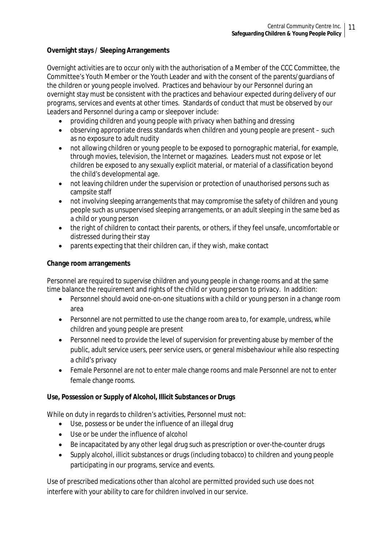# **Overnight stays / Sleeping Arrangements**

Overnight activities are to occur only with the authorisation of a Member of the CCC Committee, the Committee's Youth Member or the Youth Leader and with the consent of the parents/guardians of the children or young people involved. Practices and behaviour by our Personnel during an overnight stay must be consistent with the practices and behaviour expected during delivery of our programs, services and events at other times. Standards of conduct that must be observed by our Leaders and Personnel during a camp or sleepover include:

- providing children and young people with privacy when bathing and dressing
- observing appropriate dress standards when children and young people are present such as no exposure to adult nudity
- not allowing children or young people to be exposed to pornographic material, for example, through movies, television, the Internet or magazines. Leaders must not expose or let children be exposed to any sexually explicit material, or material of a classification beyond the child's developmental age.
- not leaving children under the supervision or protection of unauthorised persons such as campsite staff
- not involving sleeping arrangements that may compromise the safety of children and young people such as unsupervised sleeping arrangements, or an adult sleeping in the same bed as a child or young person
- the right of children to contact their parents, or others, if they feel unsafe, uncomfortable or distressed during their stay
- parents expecting that their children can, if they wish, make contact

# **Change room arrangements**

Personnel are required to supervise children and young people in change rooms and at the same time balance the requirement and rights of the child or young person to privacy. In addition:

- Personnel should avoid one-on-one situations with a child or young person in a change room area
- Personnel are not permitted to use the change room area to, for example, undress, while children and young people are present
- Personnel need to provide the level of supervision for preventing abuse by member of the public, adult service users, peer service users, or general misbehaviour while also respecting a child's privacy
- Female Personnel are not to enter male change rooms and male Personnel are not to enter female change rooms.

# **Use, Possession or Supply of Alcohol, Illicit Substances or Drugs**

While on duty in regards to children's activities, Personnel must not:

- Use, possess or be under the influence of an illegal drug
- Use or be under the influence of alcohol
- Be incapacitated by any other legal drug such as prescription or over-the-counter drugs
- Supply alcohol, illicit substances or drugs (including tobacco) to children and young people participating in our programs, service and events.

Use of prescribed medications other than alcohol are permitted provided such use does not interfere with your ability to care for children involved in our service.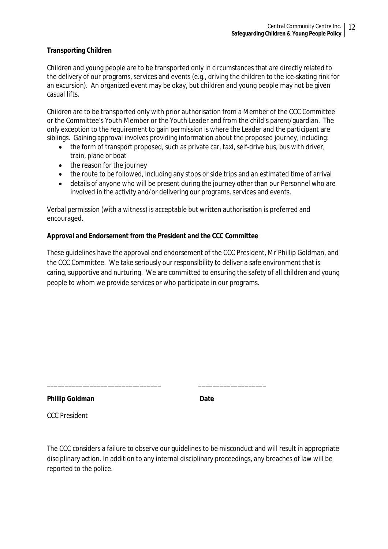#### **Transporting Children**

Children and young people are to be transported only in circumstances that are directly related to the delivery of our programs, services and events (e.g., driving the children to the ice-skating rink for an excursion). An organized event may be okay, but children and young people may not be given casual lifts.

Children are to be transported only with prior authorisation from a Member of the CCC Committee or the Committee's Youth Member or the Youth Leader and from the child's parent/guardian. The only exception to the requirement to gain permission is where the Leader and the participant are siblings. Gaining approval involves providing information about the proposed journey, including:

- the form of transport proposed, such as private car, taxi, self-drive bus, bus with driver, train, plane or boat
- the reason for the journey
- the route to be followed, including any stops or side trips and an estimated time of arrival
- details of anyone who will be present during the journey other than our Personnel who are involved in the activity and/or delivering our programs, services and events.

Verbal permission (with a witness) is acceptable but written authorisation is preferred and encouraged.

#### **Approval and Endorsement from the President and the CCC Committee**

\_\_\_\_\_\_\_\_\_\_\_\_\_\_\_\_\_\_\_\_\_\_\_\_\_\_\_\_\_\_\_\_ \_\_\_\_\_\_\_\_\_\_\_\_\_\_\_\_\_\_\_

These guidelines have the approval and endorsement of the CCC President, Mr Phillip Goldman, and the CCC Committee. We take seriously our responsibility to deliver a safe environment that is caring, supportive and nurturing. We are committed to ensuring the safety of all children and young people to whom we provide services or who participate in our programs.

**Phillip Goldman Date**

CCC President

The CCC considers a failure to observe our guidelines to be misconduct and will result in appropriate disciplinary action. In addition to any internal disciplinary proceedings, any breaches of law will be reported to the police.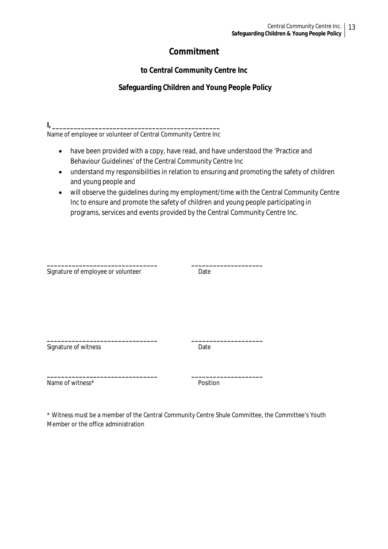# **Commitment**

# **to Central Community Centre Inc**

# **Safeguarding Children and Young People Policy**

**I, \_\_\_\_\_\_\_\_\_\_\_\_\_\_\_\_\_\_\_\_\_\_\_\_\_\_\_\_\_\_\_\_\_\_\_\_\_\_\_\_\_\_\_\_\_\_\_** 

Name of employee or volunteer of Central Community Centre Inc

- have been provided with a copy, have read, and have understood the 'Practice and Behaviour Guidelines' of the Central Community Centre Inc
- understand my responsibilities in relation to ensuring and promoting the safety of children and young people and
- will observe the guidelines during my employment/time with the Central Community Centre Inc to ensure and promote the safety of children and young people participating in programs, services and events provided by the Central Community Centre Inc.

| Signature of employee or volunteer | Date     |
|------------------------------------|----------|
|                                    |          |
|                                    |          |
|                                    |          |
|                                    |          |
| Signature of witness               | Date     |
|                                    |          |
| Name of witness*                   | Position |

\* Witness must be a member of the Central Community Centre Shule Committee, the Committee's Youth Member or the office administration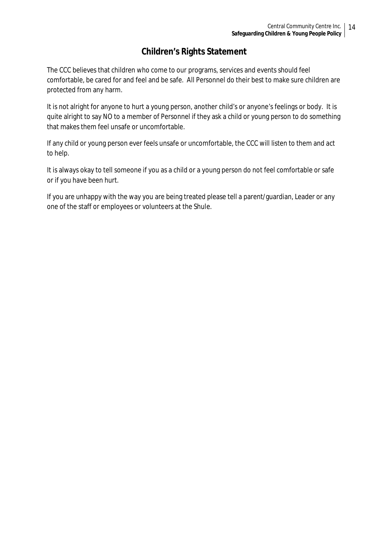# **Children's Rights Statement**

The CCC believes that children who come to our programs, services and events should feel comfortable, be cared for and feel and be safe. All Personnel do their best to make sure children are protected from any harm.

It is not alright for anyone to hurt a young person, another child's or anyone's feelings or body. It is quite alright to say NO to a member of Personnel if they ask a child or young person to do something that makes them feel unsafe or uncomfortable.

If any child or young person ever feels unsafe or uncomfortable, the CCC will listen to them and act to help.

It is always okay to tell someone if you as a child or a young person do not feel comfortable or safe or if you have been hurt.

If you are unhappy with the way you are being treated please tell a parent/guardian, Leader or any one of the staff or employees or volunteers at the Shule.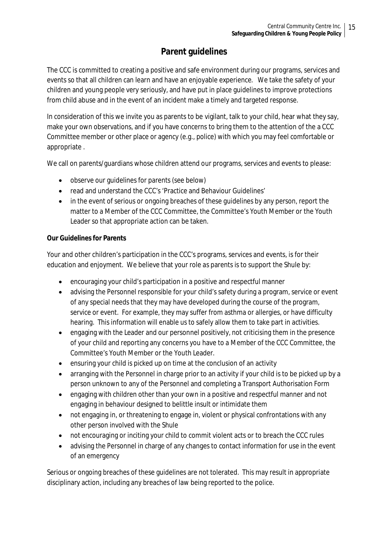# **Parent guidelines**

The CCC is committed to creating a positive and safe environment during our programs, services and events so that all children can learn and have an enjoyable experience. We take the safety of your children and young people very seriously, and have put in place guidelines to improve protections from child abuse and in the event of an incident make a timely and targeted response.

In consideration of this we invite you as parents to be vigilant, talk to your child, hear what they say, make your own observations, and if you have concerns to bring them to the attention of the a CCC Committee member or other place or agency (e.g., police) with which you may feel comfortable or appropriate .

We call on parents/guardians whose children attend our programs, services and events to please:

- observe our guidelines for parents (see below)
- read and understand the CCC's 'Practice and Behaviour Guidelines'
- in the event of serious or ongoing breaches of these guidelines by any person, report the matter to a Member of the CCC Committee, the Committee's Youth Member or the Youth Leader so that appropriate action can be taken.

# **Our Guidelines for Parents**

Your and other children's participation in the CCC's programs, services and events, is for their education and enjoyment. We believe that your role as parents is to support the Shule by:

- encouraging your child's participation in a positive and respectful manner
- advising the Personnel responsible for your child's safety during a program, service or event of any special needs that they may have developed during the course of the program, service or event. For example, they may suffer from asthma or allergies, or have difficulty hearing. This information will enable us to safely allow them to take part in activities.
- engaging with the Leader and our personnel positively, not criticising them in the presence of your child and reporting any concerns you have to a Member of the CCC Committee, the Committee's Youth Member or the Youth Leader.
- ensuring your child is picked up on time at the conclusion of an activity
- arranging with the Personnel in charge prior to an activity if your child is to be picked up by a person unknown to any of the Personnel and completing a Transport Authorisation Form
- engaging with children other than your own in a positive and respectful manner and not engaging in behaviour designed to belittle insult or intimidate them
- not engaging in, or threatening to engage in, violent or physical confrontations with any other person involved with the Shule
- not encouraging or inciting your child to commit violent acts or to breach the CCC rules
- advising the Personnel in charge of any changes to contact information for use in the event of an emergency

Serious or ongoing breaches of these guidelines are not tolerated. This may result in appropriate disciplinary action, including any breaches of law being reported to the police.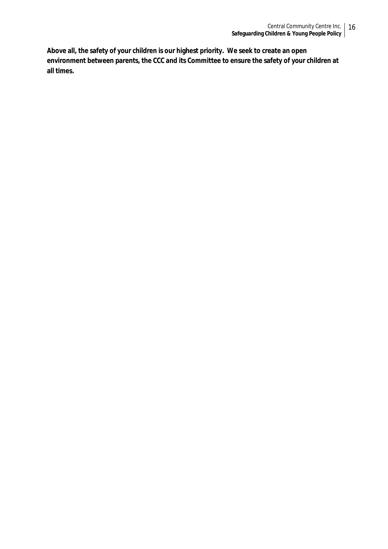**Above all, the safety of your children is our highest priority. We seek to create an open environment between parents, the CCC and its Committee to ensure the safety of your children at all times.**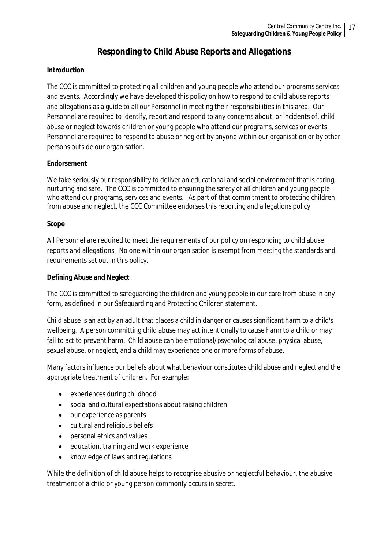# **Responding to Child Abuse Reports and Allegations**

# **Introduction**

The CCC is committed to protecting all children and young people who attend our programs services and events. Accordingly we have developed this policy on how to respond to child abuse reports and allegations as a guide to all our Personnel in meeting their responsibilities in this area. Our Personnel are required to identify, report and respond to any concerns about, or incidents of, child abuse or neglect towards children or young people who attend our programs, services or events. Personnel are required to respond to abuse or neglect by anyone within our organisation or by other persons outside our organisation.

# **Endorsement**

We take seriously our responsibility to deliver an educational and social environment that is caring, nurturing and safe. The CCC is committed to ensuring the safety of all children and young people who attend our programs, services and events. As part of that commitment to protecting children from abuse and neglect, the CCC Committee endorses this reporting and allegations policy

#### **Scope**

All Personnel are required to meet the requirements of our policy on responding to child abuse reports and allegations. No one within our organisation is exempt from meeting the standards and requirements set out in this policy.

# **Defining Abuse and Neglect**

The CCC is committed to safeguarding the children and young people in our care from abuse in any form, as defined in our Safeguarding and Protecting Children statement.

Child abuse is an act by an adult that places a child in danger or causes significant harm to a child's wellbeing. A person committing child abuse may act intentionally to cause harm to a child or may fail to act to prevent harm. Child abuse can be emotional/psychological abuse, physical abuse, sexual abuse, or neglect, and a child may experience one or more forms of abuse.

Many factors influence our beliefs about what behaviour constitutes child abuse and neglect and the appropriate treatment of children. For example:

- experiences during childhood
- social and cultural expectations about raising children
- our experience as parents
- cultural and religious beliefs
- personal ethics and values
- education, training and work experience
- knowledge of laws and regulations

While the definition of child abuse helps to recognise abusive or neglectful behaviour, the abusive treatment of a child or young person commonly occurs in secret.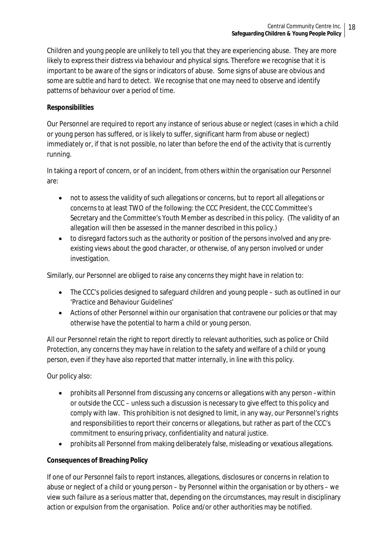Children and young people are unlikely to tell you that they are experiencing abuse. They are more likely to express their distress via behaviour and physical signs. Therefore we recognise that it is important to be aware of the signs or indicators of abuse. Some signs of abuse are obvious and some are subtle and hard to detect. We recognise that one may need to observe and identify patterns of behaviour over a period of time.

# **Responsibilities**

Our Personnel are required to report any instance of serious abuse or neglect (cases in which a child or young person has suffered, or is likely to suffer, significant harm from abuse or neglect) immediately or, if that is not possible, no later than before the end of the activity that is currently running.

In taking a report of concern, or of an incident, from others within the organisation our Personnel are:

- not to assess the validity of such allegations or concerns, but to report all allegations or concerns to at least TWO of the following: the CCC President, the CCC Committee's Secretary and the Committee's Youth Member as described in this policy. (The validity of an allegation will then be assessed in the manner described in this policy.)
- to disregard factors such as the authority or position of the persons involved and any preexisting views about the good character, or otherwise, of any person involved or under investigation.

Similarly, our Personnel are obliged to raise any concerns they might have in relation to:

- The CCC's policies designed to safeguard children and young people such as outlined in our 'Practice and Behaviour Guidelines'
- Actions of other Personnel within our organisation that contravene our policies or that may otherwise have the potential to harm a child or young person.

All our Personnel retain the right to report directly to relevant authorities, such as police or Child Protection, any concerns they may have in relation to the safety and welfare of a child or young person, even if they have also reported that matter internally, in line with this policy.

Our policy also:

- prohibits all Personnel from discussing any concerns or allegations with any person –within or outside the CCC – unless such a discussion is necessary to give effect to this policy and comply with law. This prohibition is not designed to limit, in any way, our Personnel's rights and responsibilities to report their concerns or allegations, but rather as part of the CCC's commitment to ensuring privacy, confidentiality and natural justice.
- prohibits all Personnel from making deliberately false, misleading or vexatious allegations.

# **Consequences of Breaching Policy**

If one of our Personnel fails to report instances, allegations, disclosures or concerns in relation to abuse or neglect of a child or young person – by Personnel within the organisation or by others – we view such failure as a serious matter that, depending on the circumstances, may result in disciplinary action or expulsion from the organisation. Police and/or other authorities may be notified.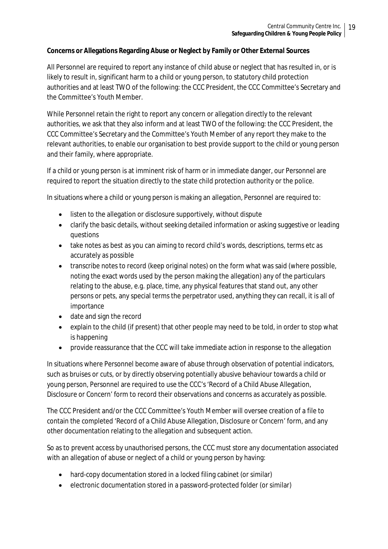# **Concerns or Allegations Regarding Abuse or Neglect by Family or Other External Sources**

All Personnel are required to report any instance of child abuse or neglect that has resulted in, or is likely to result in, significant harm to a child or young person, to statutory child protection authorities and at least TWO of the following: the CCC President, the CCC Committee's Secretary and the Committee's Youth Member.

While Personnel retain the right to report any concern or allegation directly to the relevant authorities, we ask that they also inform and at least TWO of the following: the CCC President, the CCC Committee's Secretary and the Committee's Youth Member of any report they make to the relevant authorities, to enable our organisation to best provide support to the child or young person and their family, where appropriate.

If a child or young person is at imminent risk of harm or in immediate danger, our Personnel are required to report the situation directly to the state child protection authority or the police.

In situations where a child or young person is making an allegation, Personnel are required to:

- listen to the allegation or disclosure supportively, without dispute
- clarify the basic details, without seeking detailed information or asking suggestive or leading questions
- take notes as best as you can aiming to record child's words, descriptions, terms etc as accurately as possible
- transcribe notes to record (keep original notes) on the form what was said (where possible, noting the exact words used by the person making the allegation) any of the particulars relating to the abuse, e.g. place, time, any physical features that stand out, any other persons or pets, any special terms the perpetrator used, anything they can recall, it is all of importance
- date and sign the record
- explain to the child (if present) that other people may need to be told, in order to stop what is happening
- provide reassurance that the CCC will take immediate action in response to the allegation

In situations where Personnel become aware of abuse through observation of potential indicators, such as bruises or cuts, or by directly observing potentially abusive behaviour towards a child or young person, Personnel are required to use the CCC's 'Record of a Child Abuse Allegation, Disclosure or Concern' form to record their observations and concerns as accurately as possible.

The CCC President and/or the CCC Committee's Youth Member will oversee creation of a file to contain the completed 'Record of a Child Abuse Allegation, Disclosure or Concern' form, and any other documentation relating to the allegation and subsequent action.

So as to prevent access by unauthorised persons, the CCC must store any documentation associated with an allegation of abuse or neglect of a child or young person by having:

- hard-copy documentation stored in a locked filing cabinet (or similar)
- electronic documentation stored in a password-protected folder (or similar)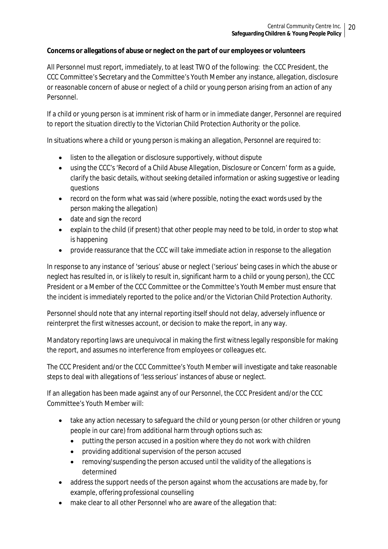# **Concerns or allegations of abuse or neglect on the part of our employees or volunteers**

All Personnel must report, immediately, to at least TWO of the following: the CCC President, the CCC Committee's Secretary and the Committee's Youth Member any instance, allegation, disclosure or reasonable concern of abuse or neglect of a child or young person arising from an action of any Personnel.

If a child or young person is at imminent risk of harm or in immediate danger, Personnel are required to report the situation directly to the Victorian Child Protection Authority or the police.

In situations where a child or young person is making an allegation, Personnel are required to:

- listen to the allegation or disclosure supportively, without dispute
- using the CCC's 'Record of a Child Abuse Allegation, Disclosure or Concern' form as a guide, clarify the basic details, without seeking detailed information or asking suggestive or leading questions
- record on the form what was said (where possible, noting the exact words used by the person making the allegation)
- date and sign the record
- explain to the child (if present) that other people may need to be told, in order to stop what is happening
- provide reassurance that the CCC will take immediate action in response to the allegation

In response to any instance of 'serious' abuse or neglect ('serious' being cases in which the abuse or neglect has resulted in, or is likely to result in, significant harm to a child or young person), the CCC President or a Member of the CCC Committee or the Committee's Youth Member must ensure that the incident is immediately reported to the police and/or the Victorian Child Protection Authority.

Personnel should note that any internal reporting itself should not delay, adversely influence or reinterpret the first witnesses account, or decision to make the report, in any way.

Mandatory reporting laws are unequivocal in making the first witness legally responsible for making the report, and assumes no interference from employees or colleagues etc.

The CCC President and/or the CCC Committee's Youth Member will investigate and take reasonable steps to deal with allegations of 'less serious' instances of abuse or neglect.

If an allegation has been made against any of our Personnel, the CCC President and/or the CCC Committee's Youth Member will:

- take any action necessary to safeguard the child or young person (or other children or young people in our care) from additional harm through options such as:
	- putting the person accused in a position where they do not work with children
	- providing additional supervision of the person accused
	- removing/suspending the person accused until the validity of the allegations is determined
- address the support needs of the person against whom the accusations are made by, for example, offering professional counselling
- make clear to all other Personnel who are aware of the allegation that: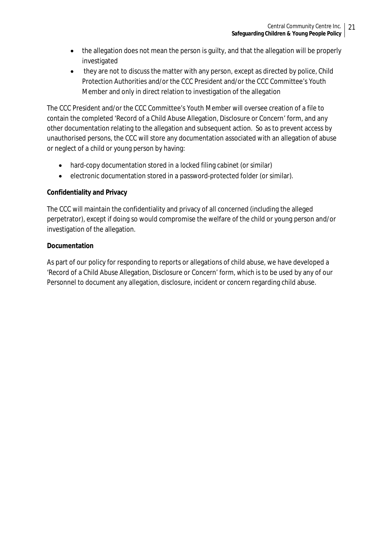- the allegation does not mean the person is quilty, and that the allegation will be properly investigated
- they are not to discuss the matter with any person, except as directed by police, Child Protection Authorities and/or the CCC President and/or the CCC Committee's Youth Member and only in direct relation to investigation of the allegation

The CCC President and/or the CCC Committee's Youth Member will oversee creation of a file to contain the completed 'Record of a Child Abuse Allegation, Disclosure or Concern' form, and any other documentation relating to the allegation and subsequent action. So as to prevent access by unauthorised persons, the CCC will store any documentation associated with an allegation of abuse or neglect of a child or young person by having:

- hard-copy documentation stored in a locked filing cabinet (or similar)
- electronic documentation stored in a password-protected folder (or similar).

# **Confidentiality and Privacy**

The CCC will maintain the confidentiality and privacy of all concerned (including the alleged perpetrator), except if doing so would compromise the welfare of the child or young person and/or investigation of the allegation.

# **Documentation**

As part of our policy for responding to reports or allegations of child abuse, we have developed a 'Record of a Child Abuse Allegation, Disclosure or Concern' form, which is to be used by any of our Personnel to document any allegation, disclosure, incident or concern regarding child abuse.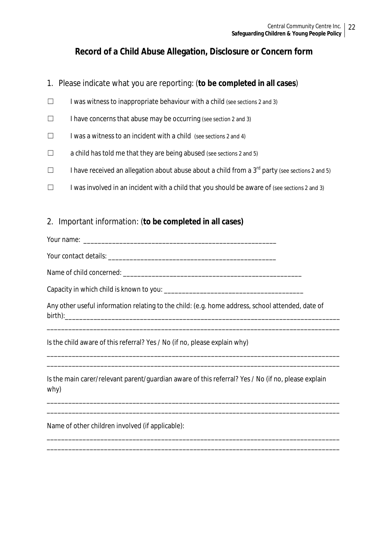# **Record of a Child Abuse Allegation, Disclosure or Concern form**

- 1. Please indicate what you are reporting: (**to be completed in all cases**)
- $\Box$  I was witness to inappropriate behaviour with a child (see sections 2 and 3)
- $\Box$  I have concerns that abuse may be occurring (see section 2 and 3)
- $\Box$  I was a witness to an incident with a child (see sections 2 and 4)
- $\Box$  a child has told me that they are being abused (see sections 2 and 5)
- $\Box$  I have received an allegation about abuse about a child from a 3<sup>rd</sup> party (see sections 2 and 5)
- $\Box$  I was involved in an incident with a child that you should be aware of (see sections 2 and 3)

# 2. Important information: (**to be completed in all cases)**

Your name:

Your contact details: \_\_\_\_\_\_\_\_\_\_\_\_\_\_\_\_\_\_\_\_\_\_\_\_\_\_\_\_\_\_\_\_\_\_\_\_\_\_\_\_\_\_\_\_\_\_\_

Name of child concerned: \_\_\_\_\_\_\_\_\_\_\_\_\_\_\_\_\_\_\_\_\_\_\_\_\_\_\_\_\_\_\_\_\_\_\_\_\_\_\_\_\_\_\_\_\_\_\_\_\_\_

Capacity in which child is known to you:

Any other useful information relating to the child: (e.g. home address, school attended, date of birth):\_\_\_\_\_\_\_\_\_\_\_\_\_\_\_\_\_\_\_\_\_\_\_\_\_\_\_\_\_\_\_\_\_\_\_\_\_\_\_\_\_\_\_\_\_\_\_\_\_\_\_\_\_\_\_\_\_\_\_\_\_\_\_\_\_\_\_\_\_\_\_\_\_\_\_\_\_

\_\_\_\_\_\_\_\_\_\_\_\_\_\_\_\_\_\_\_\_\_\_\_\_\_\_\_\_\_\_\_\_\_\_\_\_\_\_\_\_\_\_\_\_\_\_\_\_\_\_\_\_\_\_\_\_\_\_\_\_\_\_\_\_\_\_\_\_\_\_\_\_\_\_\_\_\_\_\_\_\_\_

\_\_\_\_\_\_\_\_\_\_\_\_\_\_\_\_\_\_\_\_\_\_\_\_\_\_\_\_\_\_\_\_\_\_\_\_\_\_\_\_\_\_\_\_\_\_\_\_\_\_\_\_\_\_\_\_\_\_\_\_\_\_\_\_\_\_\_\_\_\_\_\_\_\_\_\_\_\_\_\_\_\_ \_\_\_\_\_\_\_\_\_\_\_\_\_\_\_\_\_\_\_\_\_\_\_\_\_\_\_\_\_\_\_\_\_\_\_\_\_\_\_\_\_\_\_\_\_\_\_\_\_\_\_\_\_\_\_\_\_\_\_\_\_\_\_\_\_\_\_\_\_\_\_\_\_\_\_\_\_\_\_\_\_\_

Is the child aware of this referral? Yes / No (if no, please explain why)

Is the main carer/relevant parent/guardian aware of this referral? Yes / No (if no, please explain why)

\_\_\_\_\_\_\_\_\_\_\_\_\_\_\_\_\_\_\_\_\_\_\_\_\_\_\_\_\_\_\_\_\_\_\_\_\_\_\_\_\_\_\_\_\_\_\_\_\_\_\_\_\_\_\_\_\_\_\_\_\_\_\_\_\_\_\_\_\_\_\_\_\_\_\_\_\_\_\_\_\_\_ \_\_\_\_\_\_\_\_\_\_\_\_\_\_\_\_\_\_\_\_\_\_\_\_\_\_\_\_\_\_\_\_\_\_\_\_\_\_\_\_\_\_\_\_\_\_\_\_\_\_\_\_\_\_\_\_\_\_\_\_\_\_\_\_\_\_\_\_\_\_\_\_\_\_\_\_\_\_\_\_\_\_

\_\_\_\_\_\_\_\_\_\_\_\_\_\_\_\_\_\_\_\_\_\_\_\_\_\_\_\_\_\_\_\_\_\_\_\_\_\_\_\_\_\_\_\_\_\_\_\_\_\_\_\_\_\_\_\_\_\_\_\_\_\_\_\_\_\_\_\_\_\_\_\_\_\_\_\_\_\_\_\_\_\_ \_\_\_\_\_\_\_\_\_\_\_\_\_\_\_\_\_\_\_\_\_\_\_\_\_\_\_\_\_\_\_\_\_\_\_\_\_\_\_\_\_\_\_\_\_\_\_\_\_\_\_\_\_\_\_\_\_\_\_\_\_\_\_\_\_\_\_\_\_\_\_\_\_\_\_\_\_\_\_\_\_\_

Name of other children involved (if applicable):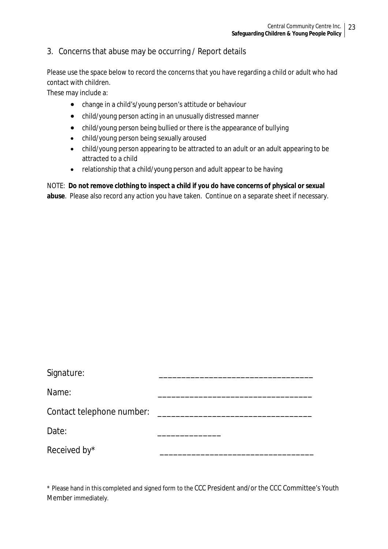# 3. Concerns that abuse may be occurring / Report details

Please use the space below to record the concerns that you have regarding a child or adult who had contact with children.

These may include a:

- change in a child's/young person's attitude or behaviour
- child/young person acting in an unusually distressed manner
- child/young person being bullied or there is the appearance of bullying
- child/young person being sexually aroused
- child/young person appearing to be attracted to an adult or an adult appearing to be attracted to a child
- relationship that a child/young person and adult appear to be having

NOTE: **Do not remove clothing to inspect a child if you do have concerns of physical or sexual abuse**. Please also record any action you have taken. Continue on a separate sheet if necessary.

| Signature:                |  |
|---------------------------|--|
| Name:                     |  |
| Contact telephone number: |  |
| Date:                     |  |
| Received by*              |  |

\* Please hand in this completed and signed form to the CCC President and/or the CCC Committee's Youth Member immediately.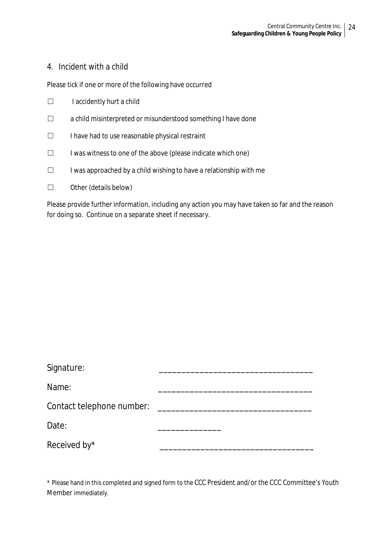# 4. Incident with a child

Please tick if one or more of the following have occurred

- ☐ I accidently hurt a child
- ☐ a child misinterpreted or misunderstood something I have done
- ☐ I have had to use reasonable physical restraint
- ☐ I was witness to one of the above (please indicate which one)
- $\Box$  I was approached by a child wishing to have a relationship with me
- ☐ Other (details below)

Please provide further information, including any action you may have taken so far and the reason for doing so. Continue on a separate sheet if necessary.

| Signature:                |  |
|---------------------------|--|
| Name:                     |  |
| Contact telephone number: |  |
| Date:                     |  |
| Received by*              |  |

\* Please hand in this completed and signed form to the CCC President and/or the CCC Committee's Youth Member immediately.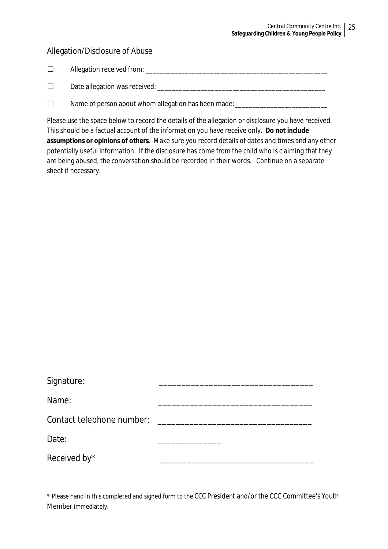# Allegation/Disclosure of Abuse

| $\overline{\phantom{a}}$ | Allegation received from: |  |
|--------------------------|---------------------------|--|
|                          |                           |  |

| Date allegation was received: |  |
|-------------------------------|--|
|                               |  |

 $\Box$  Name of person about whom allegation has been made:

Please use the space below to record the details of the allegation or disclosure you have received. This should be a factual account of the information you have receive only. **Do not include assumptions or opinions of others**. Make sure you record details of dates and times and any other potentially useful information. If the disclosure has come from the child who is claiming that they are being abused, the conversation should be recorded in their words. Continue on a separate sheet if necessary.

| Signature:                |  |
|---------------------------|--|
| Name:                     |  |
| Contact telephone number: |  |
| Date:                     |  |
| Received by*              |  |

\* Please hand in this completed and signed form to the CCC President and/or the CCC Committee's Youth Member immediately.